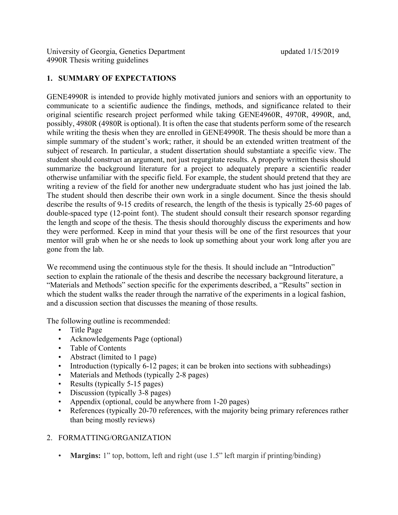University of Georgia, Genetics Department updated 1/15/2019 4990R Thesis writing guidelines

# **1. SUMMARY OF EXPECTATIONS**

GENE4990R is intended to provide highly motivated juniors and seniors with an opportunity to communicate to a scientific audience the findings, methods, and significance related to their original scientific research project performed while taking GENE4960R, 4970R, 4990R, and, possibly, 4980R (4980R is optional). It is often the case that students perform some of the research while writing the thesis when they are enrolled in GENE4990R. The thesis should be more than a simple summary of the student's work; rather, it should be an extended written treatment of the subject of research. In particular, a student dissertation should substantiate a specific view. The student should construct an argument, not just regurgitate results. A properly written thesis should summarize the background literature for a project to adequately prepare a scientific reader otherwise unfamiliar with the specific field. For example, the student should pretend that they are writing a review of the field for another new undergraduate student who has just joined the lab. The student should then describe their own work in a single document. Since the thesis should describe the results of 9-15 credits of research, the length of the thesis is typically 25-60 pages of double-spaced type (12-point font). The student should consult their research sponsor regarding the length and scope of the thesis. The thesis should thoroughly discuss the experiments and how they were performed. Keep in mind that your thesis will be one of the first resources that your mentor will grab when he or she needs to look up something about your work long after you are gone from the lab.

We recommend using the continuous style for the thesis. It should include an "Introduction" section to explain the rationale of the thesis and describe the necessary background literature, a "Materials and Methods" section specific for the experiments described, a "Results" section in which the student walks the reader through the narrative of the experiments in a logical fashion, and a discussion section that discusses the meaning of those results.

The following outline is recommended:

- Title Page
- Acknowledgements Page (optional)
- Table of Contents
- Abstract (limited to 1 page)
- Introduction (typically 6-12 pages; it can be broken into sections with subheadings)
- Materials and Methods (typically 2-8 pages)
- Results (typically 5-15 pages)
- Discussion (typically 3-8 pages)
- Appendix (optional, could be anywhere from 1-20 pages)
- References (typically 20-70 references, with the majority being primary references rather than being mostly reviews)

# 2. FORMATTING/ORGANIZATION

• **Margins:** 1" top, bottom, left and right (use 1.5" left margin if printing/binding)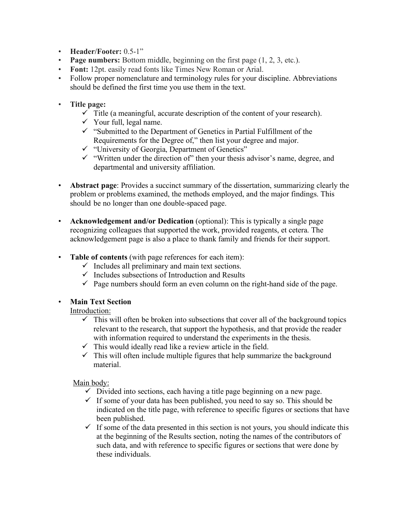- **Header/Footer:** 0.5-1"
- **Page numbers:** Bottom middle, beginning on the first page (1, 2, 3, etc.).
- **Font:** 12pt. easily read fonts like Times New Roman or Arial.
- Follow proper nomenclature and terminology rules for your discipline. Abbreviations should be defined the first time you use them in the text.
- **Title page:** 
	- $\checkmark$  Title (a meaningful, accurate description of the content of your research).
	- $\checkmark$  Your full, legal name.
	- $\checkmark$  "Submitted to the Department of Genetics in Partial Fulfillment of the Requirements for the Degree of," then list your degree and major.
	- $\checkmark$  "University of Georgia, Department of Genetics"
	- $\checkmark$  "Written under the direction of" then your thesis advisor's name, degree, and departmental and university affiliation.
- **Abstract page**: Provides a succinct summary of the dissertation, summarizing clearly the problem or problems examined, the methods employed, and the major findings. This should be no longer than one double-spaced page.
- **Acknowledgement and/or Dedication** (optional): This is typically a single page recognizing colleagues that supported the work, provided reagents, et cetera. The acknowledgement page is also a place to thank family and friends for their support.
- **Table of contents** (with page references for each item):
	- $\checkmark$  Includes all preliminary and main text sections.
	- $\checkmark$  Includes subsections of Introduction and Results
	- $\checkmark$  Page numbers should form an even column on the right-hand side of the page.

### • **Main Text Section**

### Introduction:

- $\checkmark$  This will often be broken into subsections that cover all of the background topics relevant to the research, that support the hypothesis, and that provide the reader with information required to understand the experiments in the thesis.
- $\checkmark$  This would ideally read like a review article in the field.
- $\checkmark$  This will often include multiple figures that help summarize the background material.

### Main body:

- $\checkmark$  Divided into sections, each having a title page beginning on a new page.
- $\checkmark$  If some of your data has been published, you need to say so. This should be indicated on the title page, with reference to specific figures or sections that have been published.
- $\checkmark$  If some of the data presented in this section is not yours, you should indicate this at the beginning of the Results section, noting the names of the contributors of such data, and with reference to specific figures or sections that were done by these individuals.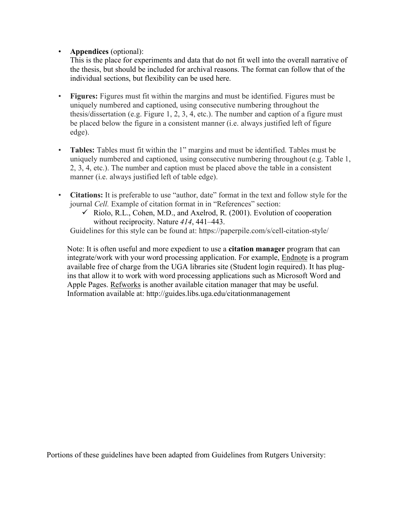# • **Appendices** (optional):

This is the place for experiments and data that do not fit well into the overall narrative of the thesis, but should be included for archival reasons. The format can follow that of the individual sections, but flexibility can be used here.

- **Figures:** Figures must fit within the margins and must be identified. Figures must be uniquely numbered and captioned, using consecutive numbering throughout the thesis/dissertation (e.g. Figure 1, 2, 3, 4, etc.). The number and caption of a figure must be placed below the figure in a consistent manner (i.e. always justified left of figure edge).
- **Tables:** Tables must fit within the 1" margins and must be identified. Tables must be uniquely numbered and captioned, using consecutive numbering throughout (e.g. Table 1, 2, 3, 4, etc.). The number and caption must be placed above the table in a consistent manner (i.e. always justified left of table edge).
- **Citations:** It is preferable to use "author, date" format in the text and follow style for the journal *Cell.* Example of citation format in in "References" section:
	- $\checkmark$  Riolo, R.L., Cohen, M.D., and Axelrod, R. (2001). Evolution of cooperation without reciprocity. Nature *414*, 441–443.

Guidelines for this style can be found at: https://paperpile.com/s/cell-citation-style/

Note: It is often useful and more expedient to use a **citation manager** program that can integrate/work with your word processing application. For example, Endnote is a program available free of charge from the UGA libraries site (Student login required). It has plugins that allow it to work with word processing applications such as Microsoft Word and Apple Pages. Refworks is another available citation manager that may be useful. Information available at: http://guides.libs.uga.edu/citationmanagement

Portions of these guidelines have been adapted from Guidelines from Rutgers University: